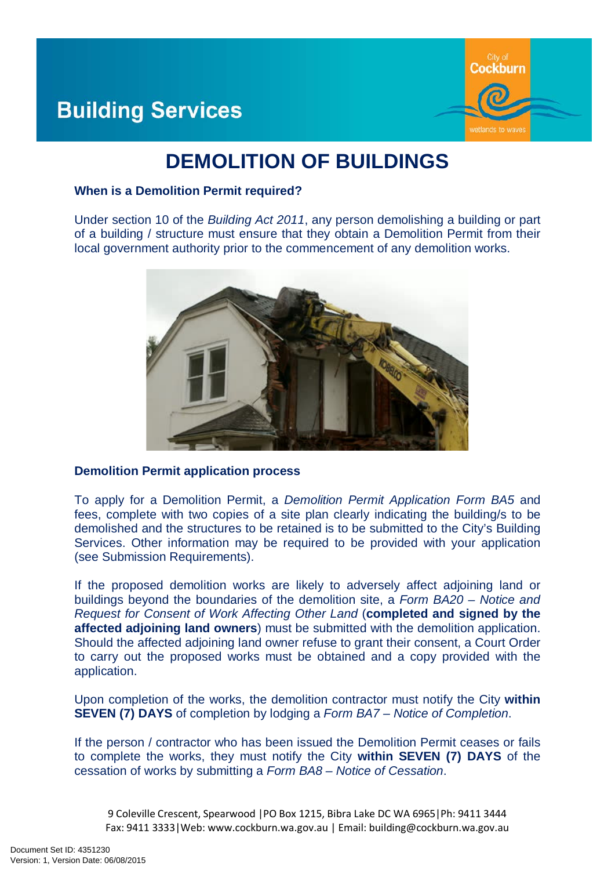

# **Building Services**

# **DEMOLITION OF BUILDINGS**

#### **When is a Demolition Permit required?**

Under section 10 of the *Building Act 2011*, any person demolishing a building or part of a building / structure must ensure that they obtain a Demolition Permit from their local government authority prior to the commencement of any demolition works.



## **Demolition Permit application process**

To apply for a Demolition Permit, a *Demolition Permit Application Form BA5* and fees, complete with two copies of a site plan clearly indicating the building/s to be demolished and the structures to be retained is to be submitted to the City's Building Services. Other information may be required to be provided with your application (see Submission Requirements).

If the proposed demolition works are likely to adversely affect adjoining land or buildings beyond the boundaries of the demolition site, a *Form BA20 – Notice and Request for Consent of Work Affecting Other Land* (**completed and signed by the affected adjoining land owners**) must be submitted with the demolition application. Should the affected adjoining land owner refuse to grant their consent, a Court Order to carry out the proposed works must be obtained and a copy provided with the application.

Upon completion of the works, the demolition contractor must notify the City **within SEVEN (7) DAYS** of completion by lodging a *Form BA7 – Notice of Completion*.

If the person / contractor who has been issued the Demolition Permit ceases or fails to complete the works, they must notify the City **within SEVEN (7) DAYS** of the cessation of works by submitting a *Form BA8 – Notice of Cessation*.

9 Coleville Crescent, Spearwood |PO Box 1215, Bibra Lake DC WA 6965|Ph: 9411 3444 Fax: 9411 3333|Web: www.cockburn.wa.gov.au | Email: building@cockburn.wa.gov.au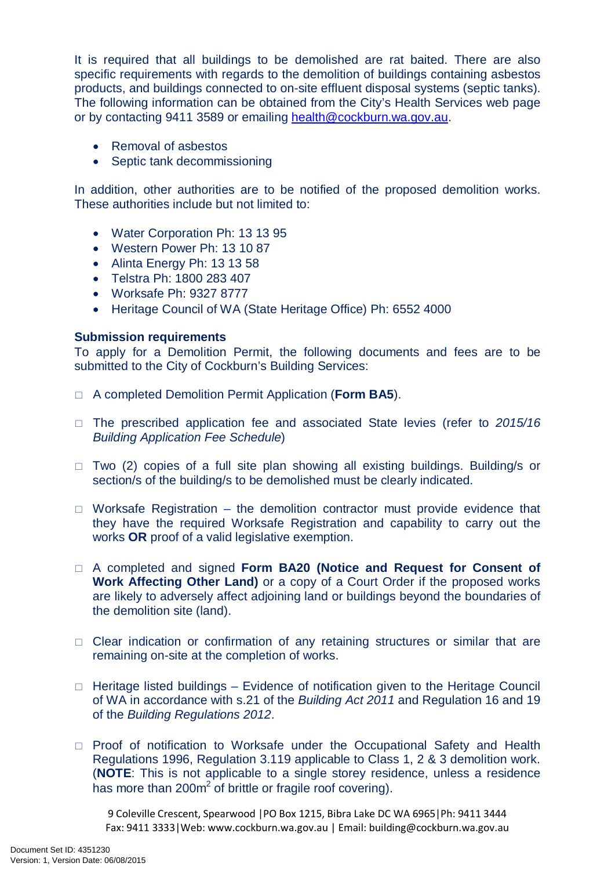It is required that all buildings to be demolished are rat baited. There are also specific requirements with regards to the demolition of buildings containing asbestos products, and buildings connected to on-site effluent disposal systems (septic tanks). The following information can be obtained from the City's Health Services web page or by contacting 9411 3589 or emailing [health@cockburn.wa.gov.au.](mailto:health@cockburn.wa.gov.au)

- Removal of asbestos
- Septic tank decommissioning

In addition, other authorities are to be notified of the proposed demolition works. These authorities include but not limited to:

- Water Corporation Ph: 13 13 95
- Western Power Ph: 13 10 87
- Alinta Energy Ph: 13 13 58
- Telstra Ph: 1800 283 407
- Worksafe Ph: 9327 8777
- Heritage Council of WA (State Heritage Office) Ph: 6552 4000

## **Submission requirements**

To apply for a Demolition Permit, the following documents and fees are to be submitted to the City of Cockburn's Building Services:

- A completed Demolition Permit Application (**Form BA5**).
- The prescribed application fee and associated State levies (refer to *2015/16 Building Application Fee Schedule*)
- $\Box$  Two (2) copies of a full site plan showing all existing buildings. Building/s or section/s of the building/s to be demolished must be clearly indicated.
- $\Box$  Worksafe Registration the demolition contractor must provide evidence that they have the required Worksafe Registration and capability to carry out the works **OR** proof of a valid legislative exemption.
- A completed and signed **Form BA20 (Notice and Request for Consent of Work Affecting Other Land)** or a copy of a Court Order if the proposed works are likely to adversely affect adjoining land or buildings beyond the boundaries of the demolition site (land).
- $\Box$  Clear indication or confirmation of any retaining structures or similar that are remaining on-site at the completion of works.
- $\Box$  Heritage listed buildings Evidence of notification given to the Heritage Council of WA in accordance with s.21 of the *Building Act 2011* and Regulation 16 and 19 of the *Building Regulations 2012*.
- $\Box$  Proof of notification to Worksafe under the Occupational Safety and Health Regulations 1996, Regulation 3.119 applicable to Class 1, 2 & 3 demolition work. (**NOTE**: This is not applicable to a single storey residence, unless a residence has more than  $200m^2$  of brittle or fragile roof covering).

9 Coleville Crescent, Spearwood |PO Box 1215, Bibra Lake DC WA 6965|Ph: 9411 3444 Fax: 9411 3333|Web: www.cockburn.wa.gov.au | Email: building@cockburn.wa.gov.au